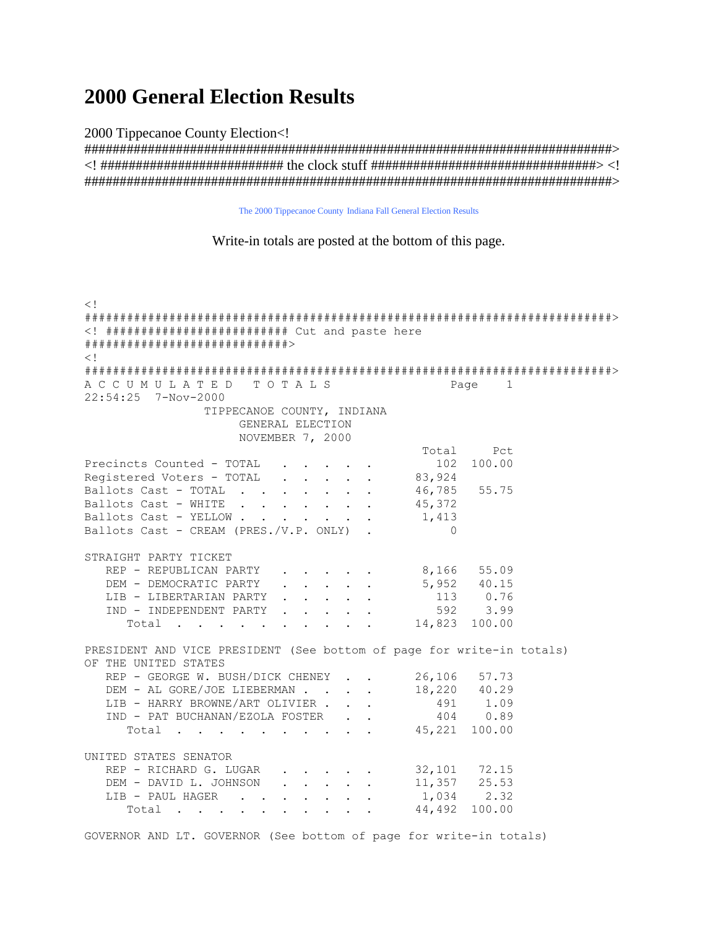## **2000 General Election Results**

2000 Tippecanoe County Election<!

The 2000 Tippecanoe County Indiana Fall General Election Results

Write-in totals are posted at the bottom of this page.

 $\lt$ !  $\lt!$ ! ########################## Cut and paste here  $\lt$  1 ACCUMULATED TOTALS Page 1 22:54:25 7-Nov-2000 TIPPECANOE COUNTY, INDIANA GENERAL ELECTION NOVEMBER 7, 2000 Total  $P \cap$ Precincts Counted - TOTAL . . . . . . . 102 100.00<br>
Registered Voters - TOTAL . . . . . . 83,924<br>
Ballots Cast - TOTAL . . . . . . . 46,785 55.75<br>
Pallots Cast WILTER Ballots Cast - WHITE . . . . . . . 45,372 Ballots Cast - YELLOW . . . . . . . 1,413 Ballots Cast - CREAM (PRES./V.P. ONLY).  $\cap$ STRAIGHT PARTY TICKET REP - REPUBLICAN PARTY . . . . . 8,166 55.09 DEM - DEMOCRATIC PARTY 5,952 40.15  $\mathbf{r}$  , and  $\mathbf{r}$  , and  $\mathbf{r}$  , and  $\mathbf{r}$ LIB - LIBERTARIAN PARTY . . . . . 113 0.76 IND - INDEPENDENT PARTY . . . . . 592 3.99 Total . . . . . .  $\mathcal{L}(\mathcal{A})$  , and  $\mathcal{L}(\mathcal{A})$ 14,823 100.00  $\sim 10^{-1}$ PRESIDENT AND VICE PRESIDENT (See bottom of page for write-in totals) OF THE UNITED STATES 26,106 57.73 REP - GEORGE W. BUSH/DICK CHENEY . . DEM - AL GORE/JOE LIEBERMAN . . . . 18,220 40.29 491 1.09 LIB - HARRY BROWNE/ART OLIVIER . . . IND - PAT BUCHANAN/EZOLA FOSTER . . 404 0.89  $45,221$  100.00 Total . . . . . . . . . UNITED STATES SENATOR REP - RICHARD G. LUGAR . . . . . 32,101 72.15 DEM - DAVID L. JOHNSON . . . . . 11,357 25.53 LIB - PAUL HAGER . . . 1,034 2.32  $\mathbf{L} = \mathbf{L} \times \mathbf{L} = \mathbf{L} \times \mathbf{L}$ 44.492 100.00 Total.....  $\mathbf{r}$ 

GOVERNOR AND LT. GOVERNOR (See bottom of page for write-in totals)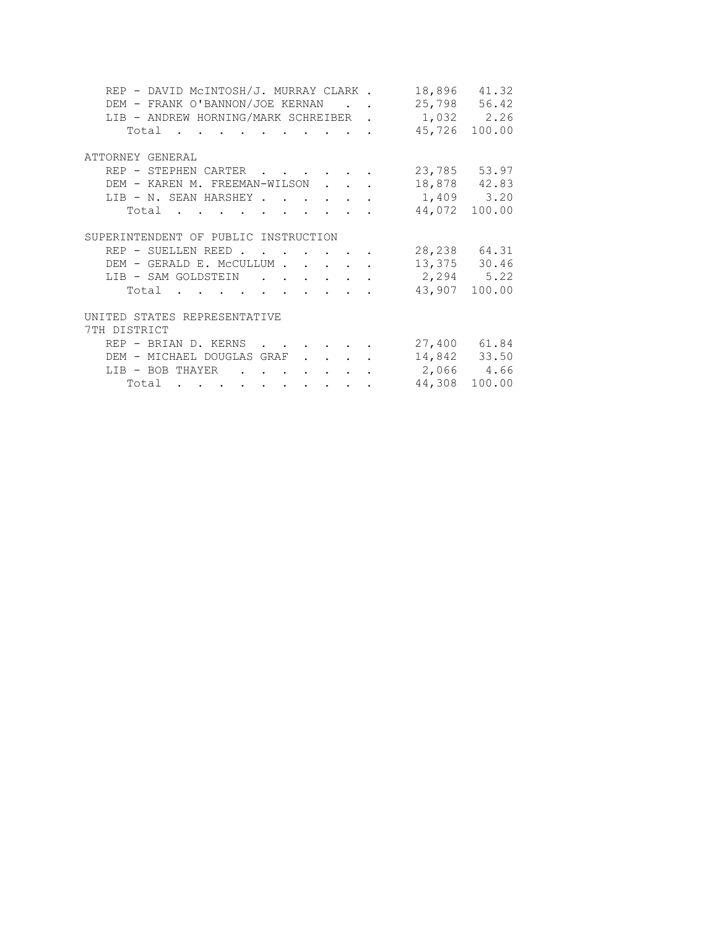| REP - DAVID MCINTOSH/J. MURRAY CLARK.                                                            | 18,896        | 41.32  |
|--------------------------------------------------------------------------------------------------|---------------|--------|
| DEM - FRANK O'BANNON/JOE KERNAN<br>$\mathbf{r}$ . The set of $\mathbf{r}$                        | 25,798 56.42  |        |
| LIB - ANDREW HORNING/MARK SCHREIBER.                                                             | 1,032 2.26    |        |
| Total                                                                                            | 45,726 100.00 |        |
| ATTORNEY GENERAL                                                                                 |               |        |
| REP - STEPHEN CARTER<br>$\mathbf{r}$ , $\mathbf{r}$ , $\mathbf{r}$ , $\mathbf{r}$ , $\mathbf{r}$ | 23,785 53.97  |        |
| DEM - KAREN M. FREEMAN-WILSON<br>$\ddot{\phantom{a}}$ . $\ddot{\phantom{a}}$                     | 18,878 42.83  |        |
| LIB - N. SEAN HARSHEY.<br>$\sim$                                                                 | 1,409 3.20    |        |
| Total<br>$\sim$ $\sim$ $\sim$ $\sim$                                                             | 44,072 100.00 |        |
| SUPERINTENDENT OF PUBLIC INSTRUCTION                                                             |               |        |
| REP - SUELLEN REED                                                                               | 28,238 64.31  |        |
| DEM - GERALD E. MCCULLUM                                                                         | 13,375 30.46  |        |
| LIB - SAM GOLDSTEIN<br>$\mathcal{L}^{\text{max}}$ and $\mathcal{L}^{\text{max}}$                 | 2,294 5.22    |        |
| Total<br>$\mathbf{r}$ , and $\mathbf{r}$ , and $\mathbf{r}$ , and $\mathbf{r}$                   | 43,907 100.00 |        |
| UNITED STATES REPRESENTATIVE                                                                     |               |        |
| 7TH DISTRICT                                                                                     |               |        |
| REP - BRIAN D. KERNS                                                                             | 27,400 61.84  |        |
| DEM - MICHAEL DOUGLAS GRAF                                                                       | 14,842 33.50  |        |
| LIB - BOB THAYER<br><b>Contract Contract</b><br>$\sim$ $\sim$ $\sim$                             | 2,066 4.66    |        |
| Total<br>والمتواطن والمتاريخ القاربين والمتاريخ والمتاريخ                                        | 44,308        | 100.00 |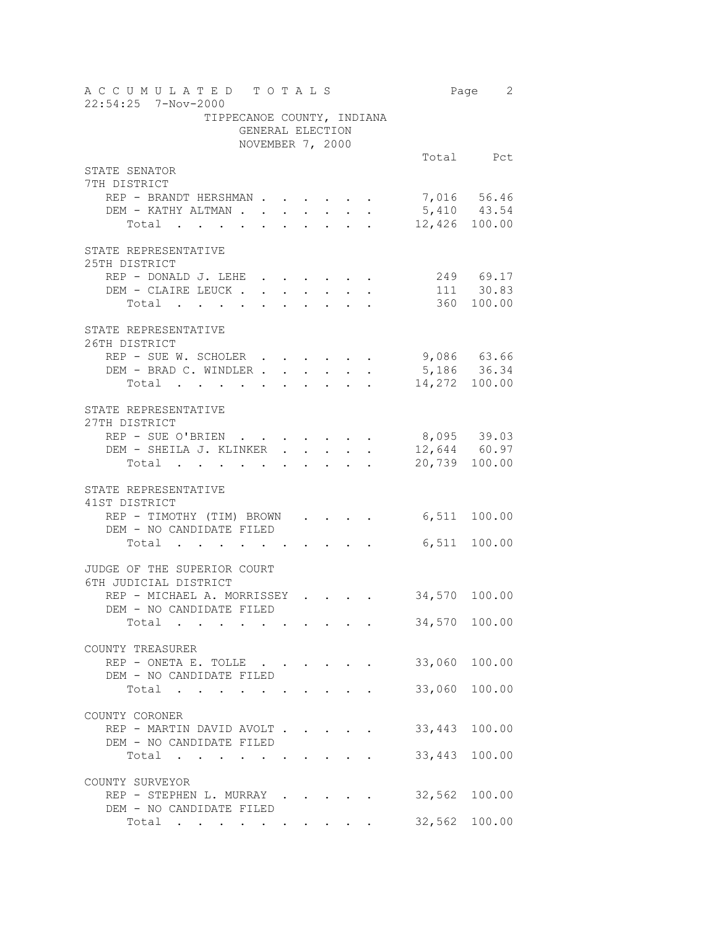| ACCUMULATED TOTALS<br>22:54:25 7-Nov-2000                                                                                                                                                                                                       |                  |                      |                                    |                                                        |                                                                                                                         |             | Page 2         |
|-------------------------------------------------------------------------------------------------------------------------------------------------------------------------------------------------------------------------------------------------|------------------|----------------------|------------------------------------|--------------------------------------------------------|-------------------------------------------------------------------------------------------------------------------------|-------------|----------------|
| TIPPECANOE COUNTY, INDIANA                                                                                                                                                                                                                      |                  |                      |                                    |                                                        |                                                                                                                         |             |                |
|                                                                                                                                                                                                                                                 | GENERAL ELECTION |                      |                                    |                                                        |                                                                                                                         |             |                |
|                                                                                                                                                                                                                                                 | NOVEMBER 7, 2000 |                      |                                    |                                                        |                                                                                                                         |             |                |
|                                                                                                                                                                                                                                                 |                  |                      |                                    |                                                        |                                                                                                                         |             | Total Pct      |
| STATE SENATOR                                                                                                                                                                                                                                   |                  |                      |                                    |                                                        |                                                                                                                         |             |                |
| 7TH DISTRICT                                                                                                                                                                                                                                    |                  |                      |                                    |                                                        |                                                                                                                         |             |                |
| REP - BRANDT HERSHMAN                                                                                                                                                                                                                           |                  |                      |                                    |                                                        |                                                                                                                         |             | 7,016 56.46    |
| DEM - KATHY ALTMAN .                                                                                                                                                                                                                            |                  |                      |                                    | $\begin{pmatrix} 1 & 1 & 1 \\ 1 & 1 & 1 \end{pmatrix}$ |                                                                                                                         |             | $5,410$ 43.54  |
| Total                                                                                                                                                                                                                                           | $\sim$           | $\sim$               |                                    |                                                        |                                                                                                                         |             | 12,426 100.00  |
| STATE REPRESENTATIVE<br>25TH DISTRICT                                                                                                                                                                                                           |                  |                      |                                    |                                                        |                                                                                                                         |             |                |
| REP - DONALD J. LEHE                                                                                                                                                                                                                            |                  |                      |                                    |                                                        |                                                                                                                         |             | 249 69.17      |
| DEM - CLAIRE LEUCK.                                                                                                                                                                                                                             |                  |                      |                                    |                                                        | $\mathbf{u} = \mathbf{u} \times \mathbf{u}$ , $\mathbf{u} = \mathbf{u} \times \mathbf{u}$ , $\mathbf{u} = \mathbf{u}$ , |             | 111 30.83      |
| Total                                                                                                                                                                                                                                           |                  |                      |                                    |                                                        |                                                                                                                         |             | 360 100.00     |
|                                                                                                                                                                                                                                                 |                  |                      |                                    |                                                        |                                                                                                                         |             |                |
| STATE REPRESENTATIVE                                                                                                                                                                                                                            |                  |                      |                                    |                                                        |                                                                                                                         |             |                |
| 26TH DISTRICT                                                                                                                                                                                                                                   |                  |                      |                                    |                                                        |                                                                                                                         |             |                |
| REP - SUE W. SCHOLER                                                                                                                                                                                                                            |                  |                      |                                    |                                                        |                                                                                                                         | 9,086 63.66 |                |
| DEM - BRAD C. WINDLER<br>Total                                                                                                                                                                                                                  |                  |                      |                                    |                                                        |                                                                                                                         | 5,186 36.34 | 14,272 100.00  |
|                                                                                                                                                                                                                                                 |                  |                      |                                    |                                                        |                                                                                                                         |             |                |
| STATE REPRESENTATIVE                                                                                                                                                                                                                            |                  |                      |                                    |                                                        |                                                                                                                         |             |                |
| 27TH DISTRICT                                                                                                                                                                                                                                   |                  |                      |                                    |                                                        |                                                                                                                         |             |                |
| REP - SUE O'BRIEN.                                                                                                                                                                                                                              |                  |                      |                                    |                                                        |                                                                                                                         |             | 8,095 39.03    |
| DEM - SHEILA J. KLINKER                                                                                                                                                                                                                         |                  | $\ddot{\phantom{0}}$ | $\mathbb{Z}^{\mathbb{Z}^{\times}}$ |                                                        |                                                                                                                         |             | $12,644$ 60.97 |
| Total                                                                                                                                                                                                                                           |                  |                      | $\mathbf{L}$                       | $\mathbf{L} = \mathbf{L}$                              |                                                                                                                         |             | 20,739 100.00  |
|                                                                                                                                                                                                                                                 |                  |                      |                                    |                                                        |                                                                                                                         |             |                |
| STATE REPRESENTATIVE<br>41ST DISTRICT                                                                                                                                                                                                           |                  |                      |                                    |                                                        |                                                                                                                         |             |                |
| REP - TIMOTHY (TIM) BROWN                                                                                                                                                                                                                       |                  |                      |                                    |                                                        | $\bullet$ . In the case of the case of the $\bullet$                                                                    |             | 6,511 100.00   |
| DEM - NO CANDIDATE FILED                                                                                                                                                                                                                        |                  |                      |                                    |                                                        |                                                                                                                         |             |                |
| Total .                                                                                                                                                                                                                                         |                  |                      |                                    |                                                        |                                                                                                                         |             | 6,511 100.00   |
|                                                                                                                                                                                                                                                 |                  |                      |                                    |                                                        |                                                                                                                         |             |                |
| JUDGE OF THE SUPERIOR COURT                                                                                                                                                                                                                     |                  |                      |                                    |                                                        |                                                                                                                         |             |                |
| 6TH JUDICIAL DISTRICT                                                                                                                                                                                                                           |                  |                      |                                    |                                                        |                                                                                                                         |             |                |
| REP - MICHAEL A. MORRISSEY                                                                                                                                                                                                                      |                  |                      |                                    |                                                        | $\mathcal{A}=\mathcal{A}=\mathcal{A}=\mathcal{A}=\mathcal{A}$                                                           |             | 34,570 100.00  |
| DEM - NO CANDIDATE FILED                                                                                                                                                                                                                        |                  |                      |                                    |                                                        |                                                                                                                         |             |                |
| Total                                                                                                                                                                                                                                           |                  |                      |                                    |                                                        |                                                                                                                         |             | 34,570 100.00  |
| COUNTY TREASURER                                                                                                                                                                                                                                |                  |                      |                                    |                                                        |                                                                                                                         |             |                |
| REP - ONETA E. TOLLE $\cdot \cdot \cdot \cdot \cdot$                                                                                                                                                                                            |                  |                      |                                    |                                                        |                                                                                                                         | 33,060      | 100.00         |
| DEM - NO CANDIDATE FILED                                                                                                                                                                                                                        |                  |                      |                                    |                                                        |                                                                                                                         |             |                |
| Total .                                                                                                                                                                                                                                         |                  |                      |                                    |                                                        |                                                                                                                         | 33,060      | 100.00         |
|                                                                                                                                                                                                                                                 |                  |                      |                                    |                                                        |                                                                                                                         |             |                |
| COUNTY CORONER                                                                                                                                                                                                                                  |                  |                      |                                    |                                                        |                                                                                                                         |             |                |
| REP - MARTIN DAVID AVOLT                                                                                                                                                                                                                        |                  |                      |                                    |                                                        |                                                                                                                         | 33,443      | 100.00         |
| DEM - NO CANDIDATE FILED                                                                                                                                                                                                                        |                  |                      |                                    |                                                        |                                                                                                                         |             |                |
| Total<br>$\ddot{\phantom{a}}$ . The contract of the contract of the contract of the contract of the contract of the contract of the contract of the contract of the contract of the contract of the contract of the contract of the contract of |                  |                      |                                    |                                                        |                                                                                                                         | 33,443      | 100.00         |
| COUNTY SURVEYOR                                                                                                                                                                                                                                 |                  |                      |                                    |                                                        |                                                                                                                         |             |                |
| REP - STEPHEN L. MURRAY                                                                                                                                                                                                                         |                  |                      |                                    |                                                        |                                                                                                                         |             | 32,562 100.00  |
| DEM - NO CANDIDATE FILED                                                                                                                                                                                                                        |                  |                      |                                    |                                                        |                                                                                                                         |             |                |
| Total                                                                                                                                                                                                                                           |                  |                      |                                    |                                                        |                                                                                                                         |             | 32,562 100.00  |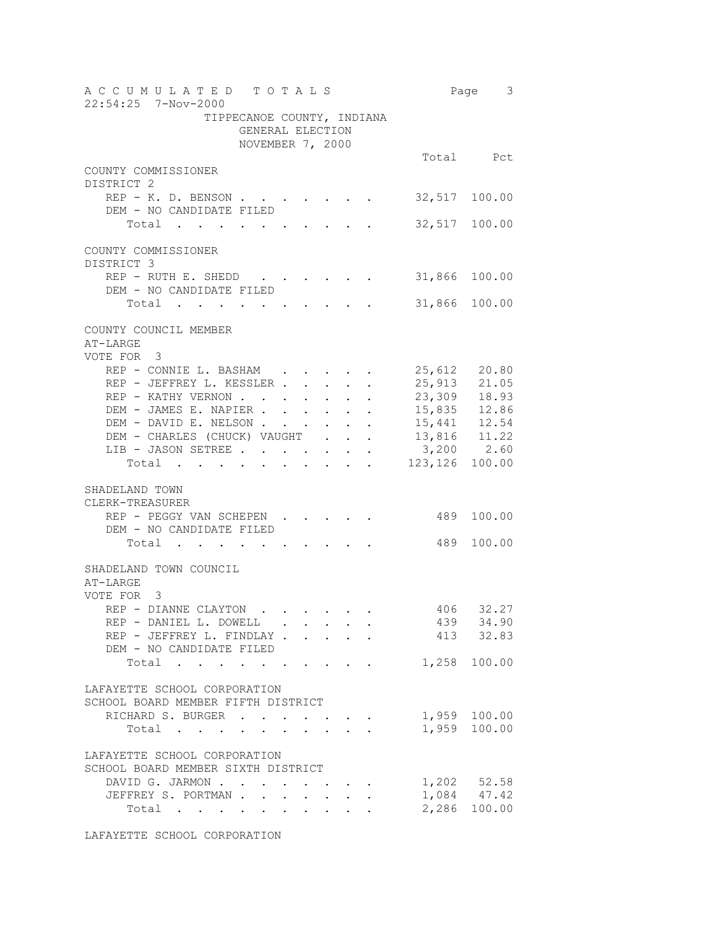| A C C U M U L A T E D T O T A L S<br>22:54:25 7-Nov-2000 |                                      |                                          |  |  |     | Page 3                         |
|----------------------------------------------------------|--------------------------------------|------------------------------------------|--|--|-----|--------------------------------|
| TIPPECANOE COUNTY, INDIANA                               | GENERAL ELECTION<br>NOVEMBER 7, 2000 |                                          |  |  |     |                                |
|                                                          |                                      |                                          |  |  |     | Total Pct                      |
| COUNTY COMMISSIONER                                      |                                      |                                          |  |  |     |                                |
| DISTRICT 2                                               |                                      |                                          |  |  |     |                                |
| REP - K. D. BENSON .<br>DEM - NO CANDIDATE FILED         |                                      |                                          |  |  |     | 32,517 100.00                  |
| Total                                                    |                                      |                                          |  |  |     | 32,517 100.00                  |
| COUNTY COMMISSIONER<br>DISTRICT 3                        |                                      |                                          |  |  |     |                                |
| REP - RUTH E. SHEDD                                      |                                      |                                          |  |  |     | 31,866 100.00                  |
| DEM - NO CANDIDATE FILED                                 |                                      |                                          |  |  |     |                                |
| Total                                                    |                                      |                                          |  |  |     | 31,866 100.00                  |
| COUNTY COUNCIL MEMBER<br>AT-LARGE<br>VOTE FOR<br>3       |                                      |                                          |  |  |     |                                |
| REP - CONNIE L. BASHAM                                   |                                      |                                          |  |  |     | 25,612 20.80                   |
| REP - JEFFREY L. KESSLER 25,913 21.05                    |                                      |                                          |  |  |     |                                |
| REP - KATHY VERNON 23,309 18.93                          |                                      |                                          |  |  |     |                                |
| DEM - JAMES E. NAPIER 15,835 12.86                       |                                      |                                          |  |  |     |                                |
| DEM - DAVID E. NELSON                                    |                                      |                                          |  |  |     | $\cdot$ 15,441 12.54           |
| DEM - CHARLES (CHUCK) VAUGHT                             |                                      |                                          |  |  |     | 13,816 11.22                   |
| LIB - JASON SETREE<br>Total .                            |                                      |                                          |  |  |     | $3,200$ 2.60<br>123,126 100.00 |
|                                                          |                                      |                                          |  |  |     |                                |
| SHADELAND TOWN<br>CLERK-TREASURER                        |                                      |                                          |  |  |     |                                |
| REP - PEGGY VAN SCHEPEN.                                 |                                      |                                          |  |  | 489 | 100.00                         |
| DEM - NO CANDIDATE FILED                                 |                                      |                                          |  |  |     |                                |
| Total                                                    |                                      |                                          |  |  | 489 | 100.00                         |
|                                                          |                                      |                                          |  |  |     |                                |
| SHADELAND TOWN COUNCIL<br>AT-LARGE<br>VOTE FOR<br>3      |                                      |                                          |  |  |     |                                |
| REP - DIANNE CLAYTON                                     |                                      |                                          |  |  |     | 406 32.27                      |
| REP - DANIEL L. DOWELL                                   |                                      |                                          |  |  |     | 439 34.90                      |
| REP - JEFFREY L. FINDLAY                                 |                                      |                                          |  |  |     | 413 32.83                      |
| DEM - NO CANDIDATE FILED                                 |                                      |                                          |  |  |     |                                |
| Total 1,258 100.00                                       |                                      |                                          |  |  |     |                                |
| LAFAYETTE SCHOOL CORPORATION                             |                                      |                                          |  |  |     |                                |
| SCHOOL BOARD MEMBER FIFTH DISTRICT                       |                                      |                                          |  |  |     |                                |
| RICHARD S. BURGER                                        |                                      |                                          |  |  |     | 1,959 100.00                   |
| Total                                                    |                                      |                                          |  |  |     | 1,959 100.00                   |
| LAFAYETTE SCHOOL CORPORATION                             |                                      |                                          |  |  |     |                                |
| SCHOOL BOARD MEMBER SIXTH DISTRICT<br>DAVID G. JARMON    |                                      |                                          |  |  |     |                                |
| JEFFREY S. PORTMAN                                       |                                      |                                          |  |  |     | 1,202 52.58                    |
| Total                                                    |                                      | $\mathbf{z} = \mathbf{z} + \mathbf{z}$ . |  |  |     | 1,084 47.42<br>2,286 100.00    |
|                                                          |                                      |                                          |  |  |     |                                |

LAFAYETTE SCHOOL CORPORATION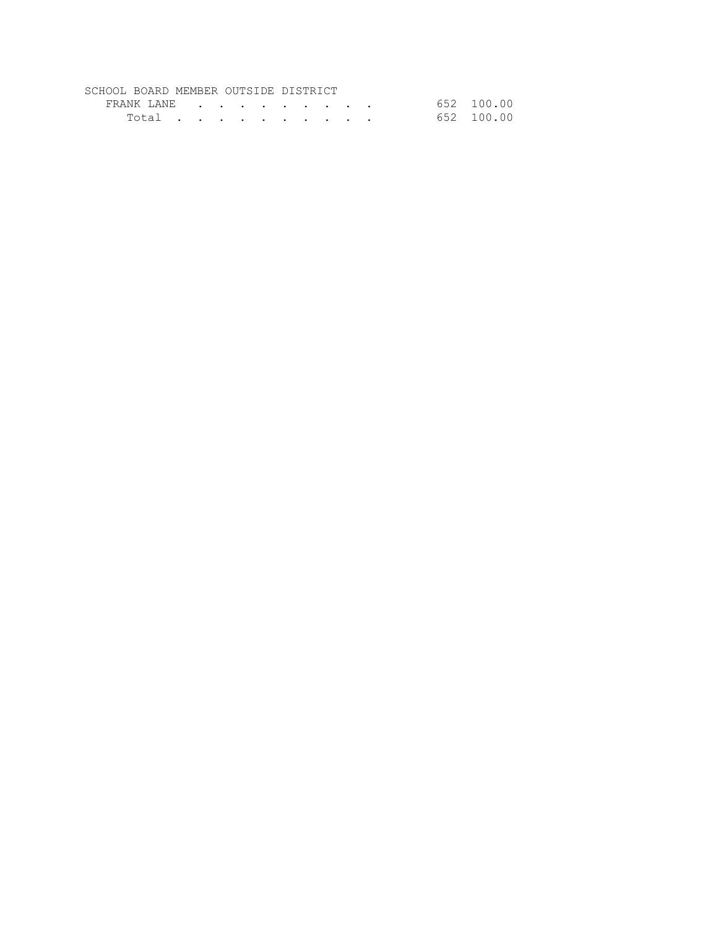## SCHOOL BOARD MEMBER OUTSIDE DISTRICT

| FRANK LANE | the contract of the contract of the contract of the contract of the contract of the contract of the contract of |  |  |  |  | 652 100.00 |
|------------|-----------------------------------------------------------------------------------------------------------------|--|--|--|--|------------|
| Total      |                                                                                                                 |  |  |  |  | 652 100.00 |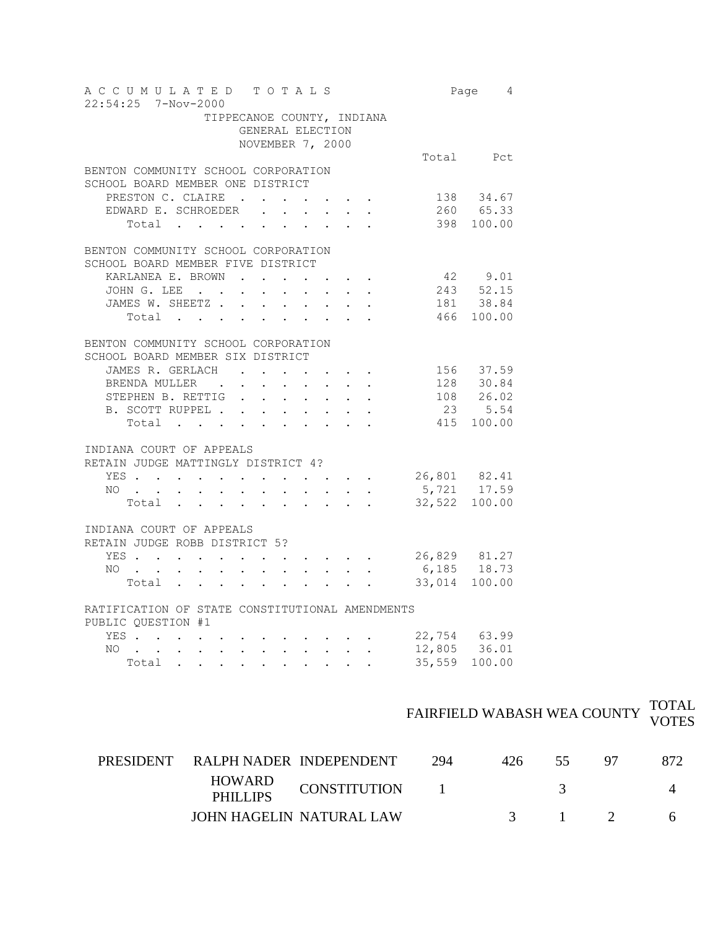| A C C U M U L A T E D T O T A L S<br>$22:54:25$ 7-Nov-2000                                 |                                     |                                                |                           |                           |                      |                                                                                              |                          |                             | Page 4                       |  |  |
|--------------------------------------------------------------------------------------------|-------------------------------------|------------------------------------------------|---------------------------|---------------------------|----------------------|----------------------------------------------------------------------------------------------|--------------------------|-----------------------------|------------------------------|--|--|
| TIPPECANOE COUNTY, INDIANA                                                                 | GENERAL ELECTION                    |                                                |                           |                           |                      |                                                                                              |                          |                             |                              |  |  |
|                                                                                            | NOVEMBER 7, 2000                    |                                                |                           |                           |                      |                                                                                              |                          |                             |                              |  |  |
| BENTON COMMUNITY SCHOOL CORPORATION                                                        |                                     |                                                |                           |                           |                      |                                                                                              |                          |                             | Total Pct                    |  |  |
| SCHOOL BOARD MEMBER ONE DISTRICT                                                           |                                     |                                                |                           |                           |                      |                                                                                              |                          |                             |                              |  |  |
| PRESTON C. CLAIRE.                                                                         |                                     | $\mathcal{L}^{\text{max}}$                     |                           |                           |                      | $\mathcal{A}(\mathcal{A})$ , and $\mathcal{A}(\mathcal{A})$ , and $\mathcal{A}(\mathcal{A})$ |                          |                             | 138 34.67                    |  |  |
| EDWARD E. SCHROEDER                                                                        |                                     | $\mathbf{L}$                                   | $\sim$                    | $\sim$                    |                      |                                                                                              |                          |                             | 260 65.33                    |  |  |
| Total                                                                                      |                                     |                                                |                           |                           |                      |                                                                                              |                          |                             | 398 100.00                   |  |  |
|                                                                                            | BENTON COMMUNITY SCHOOL CORPORATION |                                                |                           |                           |                      |                                                                                              |                          |                             |                              |  |  |
| SCHOOL BOARD MEMBER FIVE DISTRICT                                                          |                                     |                                                |                           |                           |                      |                                                                                              |                          |                             |                              |  |  |
| KARLANEA E. BROWN                                                                          | $\sim$ $\sim$                       | $\sim$                                         | $\ddot{\phantom{a}}$      |                           |                      | $\mathbf{r} = \mathbf{r} + \mathbf{r} + \mathbf{r} + \mathbf{r}$                             |                          |                             | $42$ $9.01$<br>$243$ $52.15$ |  |  |
| JOHN G. LEE .<br>$\sim$                                                                    | $\ddot{\phantom{0}}$                | $\ddot{\phantom{0}}$                           | $\ddot{\phantom{0}}$      | $\ddot{\phantom{0}}$      | $\sim$               |                                                                                              |                          |                             |                              |  |  |
| JAMES W. SHEETZ                                                                            |                                     | $\sim$                                         |                           | <b>All Adams</b>          |                      |                                                                                              |                          |                             | 181 38.84                    |  |  |
| Total                                                                                      |                                     |                                                |                           |                           |                      |                                                                                              |                          |                             | 466 100.00                   |  |  |
| BENTON COMMUNITY SCHOOL CORPORATION                                                        |                                     |                                                |                           |                           |                      |                                                                                              |                          |                             |                              |  |  |
| SCHOOL BOARD MEMBER SIX DISTRICT                                                           |                                     |                                                |                           |                           |                      |                                                                                              |                          |                             |                              |  |  |
| JAMES R. GERLACH.                                                                          |                                     | $\mathbf{r}$                                   |                           | $\sim$                    |                      |                                                                                              |                          |                             | 156 37.59                    |  |  |
| BRENDA MULLER .                                                                            | $\ddot{\phantom{0}}$                | $\ddot{\phantom{0}}$                           | $\mathbf{L}$              | $\sim$                    | $\ddot{\phantom{0}}$ | $\ddot{\phantom{0}}$                                                                         |                          |                             | 128 30.84                    |  |  |
| STEPHEN B. RETTIG                                                                          | $\ddot{\phantom{0}}$                | $\mathcal{L}^{\text{max}}$                     | $\mathbf{L}^{\text{max}}$ | $\mathbf{A}^{(1)}$ and    | $\sim$ $-$           |                                                                                              |                          | 108                         | 26.02                        |  |  |
| B. SCOTT RUPPEL .                                                                          | $\mathbf{L}$                        | $\sim$ $-$                                     | $\mathbf{L}^{\text{max}}$ | $\mathbf{L}^{\text{max}}$ |                      |                                                                                              |                          | 23                          | 5.54                         |  |  |
| Total                                                                                      |                                     |                                                |                           |                           | $\sim$               | $\mathbf{r}$                                                                                 | $\overline{\phantom{a}}$ | 415                         | 100.00                       |  |  |
| INDIANA COURT OF APPEALS                                                                   |                                     |                                                |                           |                           |                      |                                                                                              |                          |                             |                              |  |  |
| RETAIN JUDGE MATTINGLY DISTRICT 4?                                                         |                                     |                                                |                           |                           |                      |                                                                                              |                          |                             |                              |  |  |
| YES<br>$\mathbf{L}$<br>$\sim$<br>$\sim$                                                    | $\sim$                              | $\ddot{\phantom{a}}$                           |                           |                           |                      |                                                                                              |                          | 26,801 82.41<br>5,721 17.59 |                              |  |  |
| NO.<br>$\ddot{\phantom{0}}$<br>$\mathbf{r}$<br>$\sim$                                      | $\ddot{\phantom{a}}$                | $\ddot{\phantom{a}}$                           | $\mathbf{r}$              | $\ddot{\phantom{0}}$      |                      |                                                                                              |                          |                             |                              |  |  |
| Total                                                                                      |                                     |                                                |                           |                           |                      |                                                                                              |                          | 32,522 100.00               |                              |  |  |
| INDIANA COURT OF APPEALS                                                                   |                                     |                                                |                           |                           |                      |                                                                                              |                          |                             |                              |  |  |
| RETAIN JUDGE ROBB DISTRICT 5?                                                              |                                     |                                                |                           |                           |                      |                                                                                              |                          |                             |                              |  |  |
| YES<br>$\ddot{\phantom{0}}$                                                                |                                     |                                                |                           |                           |                      |                                                                                              |                          | 26,829 81.27                |                              |  |  |
| NO<br>$\sim$<br>$\mathbf{r} = \mathbf{r} + \mathbf{r}$ .<br>$\bullet$ .                    |                                     | $\mathbf{A}$ and $\mathbf{A}$ and $\mathbf{A}$ |                           | $\mathbf{r} = \mathbf{r}$ |                      |                                                                                              |                          | $6,185$ 18.73               |                              |  |  |
| Total                                                                                      |                                     |                                                |                           |                           |                      |                                                                                              |                          | 33,014 100.00               |                              |  |  |
| RATIFICATION OF STATE CONSTITUTIONAL AMENDMENTS<br>PUBLIC OUESTION #1                      |                                     |                                                |                           |                           |                      |                                                                                              |                          |                             |                              |  |  |
| YES .                                                                                      |                                     |                                                |                           |                           |                      |                                                                                              |                          | 22,754 63.99                |                              |  |  |
| $\ddot{\phantom{0}}$<br>NO L                                                               |                                     |                                                |                           |                           |                      |                                                                                              |                          | 12,805 36.01                |                              |  |  |
| $\mathbf{L}$<br>$\mathbf{L}$<br>$\sim$ 100 $\pm$<br>$\ddot{\phantom{0}}$<br>Total $\cdots$ | $\sim 10^{-11}$                     | $\sim 10^{-10}$                                |                           | $\sim$ $-$                |                      | $\ddot{\phantom{a}}$                                                                         |                          | 35,559                      | 100.00                       |  |  |
|                                                                                            |                                     |                                                |                           |                           |                      |                                                                                              |                          |                             |                              |  |  |

|                                                                                                                                                                                                                                             | TOTAL |
|---------------------------------------------------------------------------------------------------------------------------------------------------------------------------------------------------------------------------------------------|-------|
| $\begin{minipage}{.4\linewidth} \textbf{r'AIRFIELD WABASH WEA COUNTY} & \begin{minipage}{.4\linewidth} \hspace{-0.2cm} \textbf{r'AIRFIELD WABASH WEA COUNTY} & \begin{minipage}{.4\linewidth} \end{minipage} \end{minipage} \end{minipage}$ |       |

| PRESIDENT RALPH NADER INDEPENDENT |                          | 294 | 426 |                |  |
|-----------------------------------|--------------------------|-----|-----|----------------|--|
| HOWARD<br><b>PHILLIPS</b>         | <b>CONSTITUTION</b>      |     |     |                |  |
|                                   | JOHN HAGELIN NATURAL LAW |     |     | $\blacksquare$ |  |